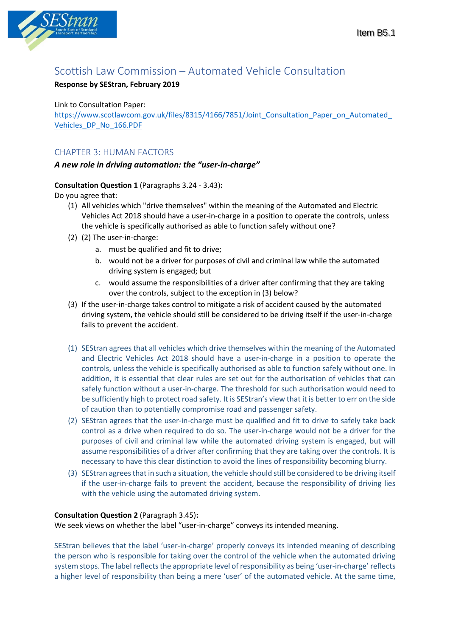

# Scottish Law Commission – Automated Vehicle Consultation

## **Response by SEStran, February 2019**

## Link to Consultation Paper:

https://www.scotlawcom.gov.uk/files/8315/4166/7851/Joint\_Consultation\_Paper\_on\_Automated [Vehicles\\_DP\\_No\\_166.PDF](https://www.scotlawcom.gov.uk/files/8315/4166/7851/Joint_Consultation_Paper_on_Automated_Vehicles_DP_No_166.PDF)

## CHAPTER 3: HUMAN FACTORS

## *A new role in driving automation: the "user-in-charge"*

## **Consultation Question 1** (Paragraphs 3.24 - 3.43)**:**

Do you agree that:

- (1) All vehicles which "drive themselves" within the meaning of the Automated and Electric Vehicles Act 2018 should have a user-in-charge in a position to operate the controls, unless the vehicle is specifically authorised as able to function safely without one?
- (2) (2) The user-in-charge:
	- a. must be qualified and fit to drive;
	- b. would not be a driver for purposes of civil and criminal law while the automated driving system is engaged; but
	- c. would assume the responsibilities of a driver after confirming that they are taking over the controls, subject to the exception in (3) below?
- (3) If the user-in-charge takes control to mitigate a risk of accident caused by the automated driving system, the vehicle should still be considered to be driving itself if the user-in-charge fails to prevent the accident.
- (1) SEStran agrees that all vehicles which drive themselves within the meaning of the Automated and Electric Vehicles Act 2018 should have a user-in-charge in a position to operate the controls, unless the vehicle is specifically authorised as able to function safely without one. In addition, it is essential that clear rules are set out for the authorisation of vehicles that can safely function without a user-in-charge. The threshold for such authorisation would need to be sufficiently high to protect road safety. It is SEStran's view that it is better to err on the side of caution than to potentially compromise road and passenger safety.
- (2) SEStran agrees that the user-in-charge must be qualified and fit to drive to safely take back control as a drive when required to do so. The user-in-charge would not be a driver for the purposes of civil and criminal law while the automated driving system is engaged, but will assume responsibilities of a driver after confirming that they are taking over the controls. It is necessary to have this clear distinction to avoid the lines of responsibility becoming blurry.
- (3) SEStran agrees that in such a situation, the vehicle should still be considered to be driving itself if the user-in-charge fails to prevent the accident, because the responsibility of driving lies with the vehicle using the automated driving system.

## **Consultation Question 2** (Paragraph 3.45)**:**

We seek views on whether the label "user-in-charge" conveys its intended meaning.

SEStran believes that the label 'user-in-charge' properly conveys its intended meaning of describing the person who is responsible for taking over the control of the vehicle when the automated driving system stops. The label reflects the appropriate level of responsibility as being 'user-in-charge' reflects a higher level of responsibility than being a mere 'user' of the automated vehicle. At the same time,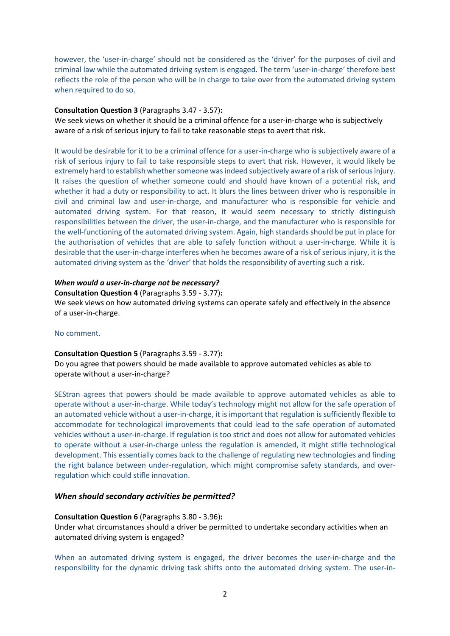however, the 'user-in-charge' should not be considered as the 'driver' for the purposes of civil and criminal law while the automated driving system is engaged. The term 'user-in-charge' therefore best reflects the role of the person who will be in charge to take over from the automated driving system when required to do so.

### **Consultation Question 3** (Paragraphs 3.47 - 3.57)**:**

We seek views on whether it should be a criminal offence for a user-in-charge who is subjectively aware of a risk of serious injury to fail to take reasonable steps to avert that risk.

It would be desirable for it to be a criminal offence for a user-in-charge who is subjectively aware of a risk of serious injury to fail to take responsible steps to avert that risk. However, it would likely be extremely hard to establish whether someone wasindeed subjectively aware of a risk of serious injury. It raises the question of whether someone could and should have known of a potential risk, and whether it had a duty or responsibility to act. It blurs the lines between driver who is responsible in civil and criminal law and user-in-charge, and manufacturer who is responsible for vehicle and automated driving system. For that reason, it would seem necessary to strictly distinguish responsibilities between the driver, the user-in-charge, and the manufacturer who is responsible for the well-functioning of the automated driving system. Again, high standards should be put in place for the authorisation of vehicles that are able to safely function without a user-in-charge. While it is desirable that the user-in-charge interferes when he becomes aware of a risk of serious injury, it is the automated driving system as the 'driver' that holds the responsibility of averting such a risk.

## *When would a user-in-charge not be necessary?*

#### **Consultation Question 4** (Paragraphs 3.59 - 3.77)**:**

We seek views on how automated driving systems can operate safely and effectively in the absence of a user-in-charge.

### No comment.

#### **Consultation Question 5** (Paragraphs 3.59 - 3.77)**:**

Do you agree that powers should be made available to approve automated vehicles as able to operate without a user-in-charge?

SEStran agrees that powers should be made available to approve automated vehicles as able to operate without a user-in-charge. While today's technology might not allow for the safe operation of an automated vehicle without a user-in-charge, it is important that regulation is sufficiently flexible to accommodate for technological improvements that could lead to the safe operation of automated vehicles without a user-in-charge. If regulation is too strict and does not allow for automated vehicles to operate without a user-in-charge unless the regulation is amended, it might stifle technological development. This essentially comes back to the challenge of regulating new technologies and finding the right balance between under-regulation, which might compromise safety standards, and overregulation which could stifle innovation.

### *When should secondary activities be permitted?*

### **Consultation Question 6** (Paragraphs 3.80 - 3.96)**:**

Under what circumstances should a driver be permitted to undertake secondary activities when an automated driving system is engaged?

When an automated driving system is engaged, the driver becomes the user-in-charge and the responsibility for the dynamic driving task shifts onto the automated driving system. The user-in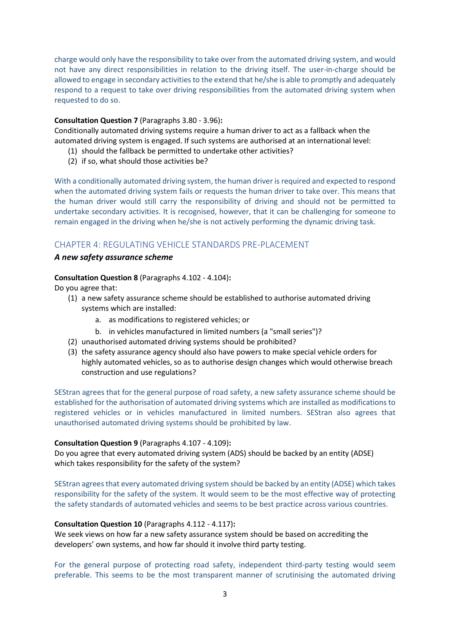charge would only have the responsibility to take over from the automated driving system, and would not have any direct responsibilities in relation to the driving itself. The user-in-charge should be allowed to engage in secondary activities to the extend that he/she is able to promptly and adequately respond to a request to take over driving responsibilities from the automated driving system when requested to do so.

## **Consultation Question 7** (Paragraphs 3.80 - 3.96)**:**

Conditionally automated driving systems require a human driver to act as a fallback when the automated driving system is engaged. If such systems are authorised at an international level:

- (1) should the fallback be permitted to undertake other activities?
- (2) if so, what should those activities be?

With a conditionally automated driving system, the human driver is required and expected to respond when the automated driving system fails or requests the human driver to take over. This means that the human driver would still carry the responsibility of driving and should not be permitted to undertake secondary activities. It is recognised, however, that it can be challenging for someone to remain engaged in the driving when he/she is not actively performing the dynamic driving task.

## CHAPTER 4: REGULATING VEHICLE STANDARDS PRE-PLACEMENT

## *A new safety assurance scheme*

## **Consultation Question 8** (Paragraphs 4.102 - 4.104)**:**

Do you agree that:

- (1) a new safety assurance scheme should be established to authorise automated driving systems which are installed:
	- a. as modifications to registered vehicles; or
	- b. in vehicles manufactured in limited numbers (a "small series")?
- (2) unauthorised automated driving systems should be prohibited?
- (3) the safety assurance agency should also have powers to make special vehicle orders for highly automated vehicles, so as to authorise design changes which would otherwise breach construction and use regulations?

SEStran agrees that for the general purpose of road safety, a new safety assurance scheme should be established for the authorisation of automated driving systems which are installed as modifications to registered vehicles or in vehicles manufactured in limited numbers. SEStran also agrees that unauthorised automated driving systems should be prohibited by law.

## **Consultation Question 9** (Paragraphs 4.107 - 4.109)**:**

Do you agree that every automated driving system (ADS) should be backed by an entity (ADSE) which takes responsibility for the safety of the system?

SEStran agrees that every automated driving system should be backed by an entity (ADSE) which takes responsibility for the safety of the system. It would seem to be the most effective way of protecting the safety standards of automated vehicles and seems to be best practice across various countries.

## **Consultation Question 10** (Paragraphs 4.112 - 4.117)**:**

We seek views on how far a new safety assurance system should be based on accrediting the developers' own systems, and how far should it involve third party testing.

For the general purpose of protecting road safety, independent third-party testing would seem preferable. This seems to be the most transparent manner of scrutinising the automated driving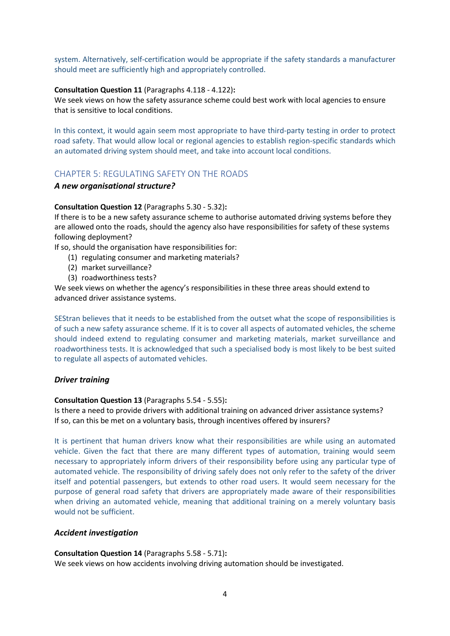system. Alternatively, self-certification would be appropriate if the safety standards a manufacturer should meet are sufficiently high and appropriately controlled.

## **Consultation Question 11** (Paragraphs 4.118 - 4.122)**:**

We seek views on how the safety assurance scheme could best work with local agencies to ensure that is sensitive to local conditions.

In this context, it would again seem most appropriate to have third-party testing in order to protect road safety. That would allow local or regional agencies to establish region-specific standards which an automated driving system should meet, and take into account local conditions.

## CHAPTER 5: REGULATING SAFETY ON THE ROADS

### *A new organisational structure?*

### **Consultation Question 12** (Paragraphs 5.30 - 5.32)**:**

If there is to be a new safety assurance scheme to authorise automated driving systems before they are allowed onto the roads, should the agency also have responsibilities for safety of these systems following deployment?

If so, should the organisation have responsibilities for:

- (1) regulating consumer and marketing materials?
- (2) market surveillance?
- (3) roadworthiness tests?

We seek views on whether the agency's responsibilities in these three areas should extend to advanced driver assistance systems.

SEStran believes that it needs to be established from the outset what the scope of responsibilities is of such a new safety assurance scheme. If it is to cover all aspects of automated vehicles, the scheme should indeed extend to regulating consumer and marketing materials, market surveillance and roadworthiness tests. It is acknowledged that such a specialised body is most likely to be best suited to regulate all aspects of automated vehicles.

## *Driver training*

### **Consultation Question 13** (Paragraphs 5.54 - 5.55)**:**

Is there a need to provide drivers with additional training on advanced driver assistance systems? If so, can this be met on a voluntary basis, through incentives offered by insurers?

It is pertinent that human drivers know what their responsibilities are while using an automated vehicle. Given the fact that there are many different types of automation, training would seem necessary to appropriately inform drivers of their responsibility before using any particular type of automated vehicle. The responsibility of driving safely does not only refer to the safety of the driver itself and potential passengers, but extends to other road users. It would seem necessary for the purpose of general road safety that drivers are appropriately made aware of their responsibilities when driving an automated vehicle, meaning that additional training on a merely voluntary basis would not be sufficient.

### *Accident investigation*

### **Consultation Question 14** (Paragraphs 5.58 - 5.71)**:**

We seek views on how accidents involving driving automation should be investigated.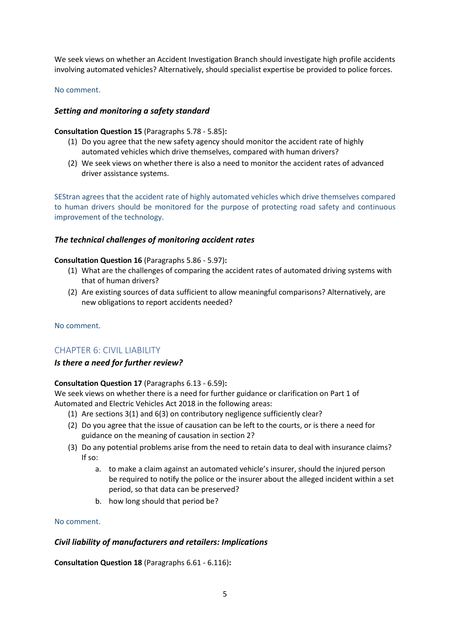We seek views on whether an Accident Investigation Branch should investigate high profile accidents involving automated vehicles? Alternatively, should specialist expertise be provided to police forces.

### No comment.

## *Setting and monitoring a safety standard*

## **Consultation Question 15** (Paragraphs 5.78 - 5.85)**:**

- (1) Do you agree that the new safety agency should monitor the accident rate of highly automated vehicles which drive themselves, compared with human drivers?
- (2) We seek views on whether there is also a need to monitor the accident rates of advanced driver assistance systems.

SEStran agrees that the accident rate of highly automated vehicles which drive themselves compared to human drivers should be monitored for the purpose of protecting road safety and continuous improvement of the technology.

## *The technical challenges of monitoring accident rates*

### **Consultation Question 16** (Paragraphs 5.86 - 5.97)**:**

- (1) What are the challenges of comparing the accident rates of automated driving systems with that of human drivers?
- (2) Are existing sources of data sufficient to allow meaningful comparisons? Alternatively, are new obligations to report accidents needed?

No comment.

## CHAPTER 6: CIVIL LIABILITY

## *Is there a need for further review?*

## **Consultation Question 17** (Paragraphs 6.13 - 6.59)**:**

We seek views on whether there is a need for further guidance or clarification on Part 1 of Automated and Electric Vehicles Act 2018 in the following areas:

- (1) Are sections 3(1) and 6(3) on contributory negligence sufficiently clear?
- (2) Do you agree that the issue of causation can be left to the courts, or is there a need for guidance on the meaning of causation in section 2?
- (3) Do any potential problems arise from the need to retain data to deal with insurance claims? If so:
	- a. to make a claim against an automated vehicle's insurer, should the injured person be required to notify the police or the insurer about the alleged incident within a set period, so that data can be preserved?
	- b. how long should that period be?

### No comment.

## *Civil liability of manufacturers and retailers: Implications*

**Consultation Question 18** (Paragraphs 6.61 - 6.116)**:**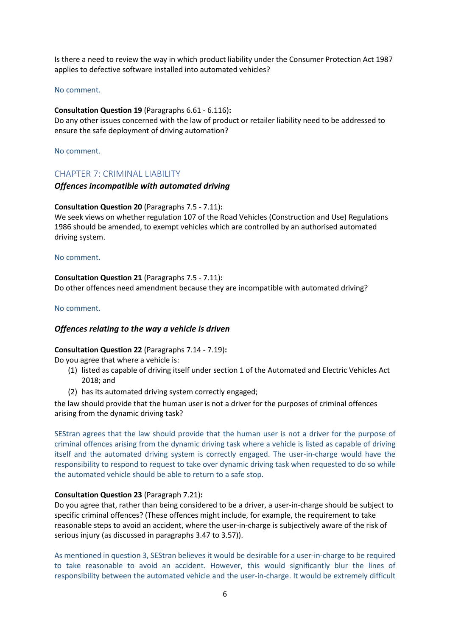Is there a need to review the way in which product liability under the Consumer Protection Act 1987 applies to defective software installed into automated vehicles?

### No comment.

### **Consultation Question 19** (Paragraphs 6.61 - 6.116)**:**

Do any other issues concerned with the law of product or retailer liability need to be addressed to ensure the safe deployment of driving automation?

No comment.

## CHAPTER 7: CRIMINAL LIABILITY

### *Offences incompatible with automated driving*

### **Consultation Question 20** (Paragraphs 7.5 - 7.11)**:**

We seek views on whether regulation 107 of the Road Vehicles (Construction and Use) Regulations 1986 should be amended, to exempt vehicles which are controlled by an authorised automated driving system.

#### No comment.

**Consultation Question 21** (Paragraphs 7.5 - 7.11)**:**  Do other offences need amendment because they are incompatible with automated driving?

#### No comment.

### *Offences relating to the way a vehicle is driven*

#### **Consultation Question 22** (Paragraphs 7.14 - 7.19)**:**

Do you agree that where a vehicle is:

- (1) listed as capable of driving itself under section 1 of the Automated and Electric Vehicles Act 2018; and
- (2) has its automated driving system correctly engaged;

the law should provide that the human user is not a driver for the purposes of criminal offences arising from the dynamic driving task?

SEStran agrees that the law should provide that the human user is not a driver for the purpose of criminal offences arising from the dynamic driving task where a vehicle is listed as capable of driving itself and the automated driving system is correctly engaged. The user-in-charge would have the responsibility to respond to request to take over dynamic driving task when requested to do so while the automated vehicle should be able to return to a safe stop.

### **Consultation Question 23** (Paragraph 7.21)**:**

Do you agree that, rather than being considered to be a driver, a user-in-charge should be subject to specific criminal offences? (These offences might include, for example, the requirement to take reasonable steps to avoid an accident, where the user-in-charge is subjectively aware of the risk of serious injury (as discussed in paragraphs 3.47 to 3.57)).

As mentioned in question 3, SEStran believes it would be desirable for a user-in-charge to be required to take reasonable to avoid an accident. However, this would significantly blur the lines of responsibility between the automated vehicle and the user-in-charge. It would be extremely difficult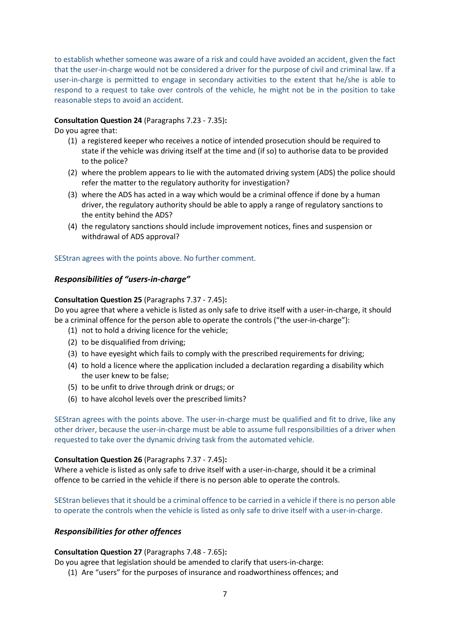to establish whether someone was aware of a risk and could have avoided an accident, given the fact that the user-in-charge would not be considered a driver for the purpose of civil and criminal law. If a user-in-charge is permitted to engage in secondary activities to the extent that he/she is able to respond to a request to take over controls of the vehicle, he might not be in the position to take reasonable steps to avoid an accident.

## **Consultation Question 24** (Paragraphs 7.23 - 7.35)**:**

Do you agree that:

- (1) a registered keeper who receives a notice of intended prosecution should be required to state if the vehicle was driving itself at the time and (if so) to authorise data to be provided to the police?
- (2) where the problem appears to lie with the automated driving system (ADS) the police should refer the matter to the regulatory authority for investigation?
- (3) where the ADS has acted in a way which would be a criminal offence if done by a human driver, the regulatory authority should be able to apply a range of regulatory sanctions to the entity behind the ADS?
- (4) the regulatory sanctions should include improvement notices, fines and suspension or withdrawal of ADS approval?

## SEStran agrees with the points above. No further comment.

## *Responsibilities of "users-in-charge"*

### **Consultation Question 25** (Paragraphs 7.37 - 7.45)**:**

Do you agree that where a vehicle is listed as only safe to drive itself with a user-in-charge, it should be a criminal offence for the person able to operate the controls ("the user-in-charge"):

- (1) not to hold a driving licence for the vehicle;
- (2) to be disqualified from driving;
- (3) to have eyesight which fails to comply with the prescribed requirements for driving;
- (4) to hold a licence where the application included a declaration regarding a disability which the user knew to be false;
- (5) to be unfit to drive through drink or drugs; or
- (6) to have alcohol levels over the prescribed limits?

SEStran agrees with the points above. The user-in-charge must be qualified and fit to drive, like any other driver, because the user-in-charge must be able to assume full responsibilities of a driver when requested to take over the dynamic driving task from the automated vehicle.

### **Consultation Question 26** (Paragraphs 7.37 - 7.45)**:**

Where a vehicle is listed as only safe to drive itself with a user-in-charge, should it be a criminal offence to be carried in the vehicle if there is no person able to operate the controls.

SEStran believes that it should be a criminal offence to be carried in a vehicle if there is no person able to operate the controls when the vehicle is listed as only safe to drive itself with a user-in-charge.

## *Responsibilities for other offences*

### **Consultation Question 27** (Paragraphs 7.48 - 7.65)**:**

Do you agree that legislation should be amended to clarify that users-in-charge:

(1) Are "users" for the purposes of insurance and roadworthiness offences; and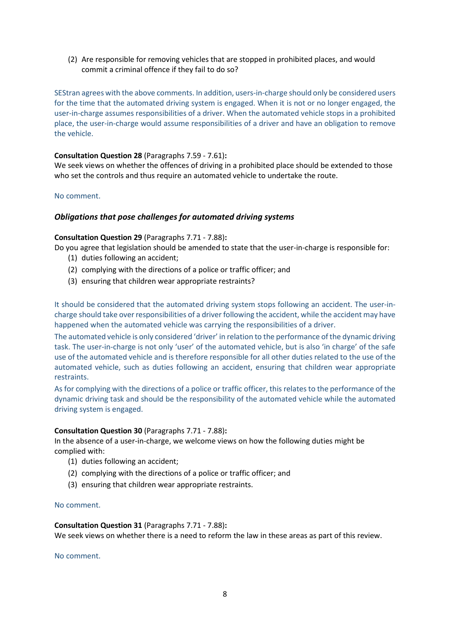(2) Are responsible for removing vehicles that are stopped in prohibited places, and would commit a criminal offence if they fail to do so?

SEStran agrees with the above comments. In addition, users-in-charge should only be considered users for the time that the automated driving system is engaged. When it is not or no longer engaged, the user-in-charge assumes responsibilities of a driver. When the automated vehicle stops in a prohibited place, the user-in-charge would assume responsibilities of a driver and have an obligation to remove the vehicle.

## **Consultation Question 28** (Paragraphs 7.59 - 7.61)**:**

We seek views on whether the offences of driving in a prohibited place should be extended to those who set the controls and thus require an automated vehicle to undertake the route.

## No comment.

## *Obligations that pose challenges for automated driving systems*

## **Consultation Question 29** (Paragraphs 7.71 - 7.88)**:**

Do you agree that legislation should be amended to state that the user-in-charge is responsible for:

- (1) duties following an accident;
- (2) complying with the directions of a police or traffic officer; and
- (3) ensuring that children wear appropriate restraints?

It should be considered that the automated driving system stops following an accident. The user-incharge should take over responsibilities of a driver following the accident, while the accident may have happened when the automated vehicle was carrying the responsibilities of a driver.

The automated vehicle is only considered 'driver' in relation to the performance of the dynamic driving task. The user-in-charge is not only 'user' of the automated vehicle, but is also 'in charge' of the safe use of the automated vehicle and is therefore responsible for all other duties related to the use of the automated vehicle, such as duties following an accident, ensuring that children wear appropriate restraints.

As for complying with the directions of a police or traffic officer, this relates to the performance of the dynamic driving task and should be the responsibility of the automated vehicle while the automated driving system is engaged.

## **Consultation Question 30** (Paragraphs 7.71 - 7.88)**:**

In the absence of a user-in-charge, we welcome views on how the following duties might be complied with:

- (1) duties following an accident;
- (2) complying with the directions of a police or traffic officer; and
- (3) ensuring that children wear appropriate restraints.

### No comment.

### **Consultation Question 31** (Paragraphs 7.71 - 7.88)**:**

We seek views on whether there is a need to reform the law in these areas as part of this review.

No comment.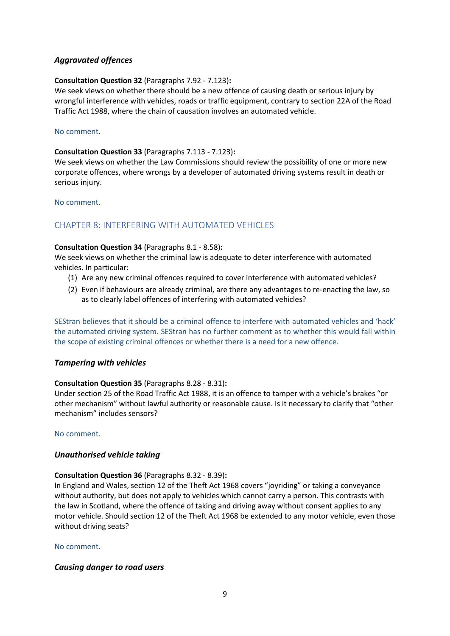## *Aggravated offences*

## **Consultation Question 32** (Paragraphs 7.92 - 7.123)**:**

We seek views on whether there should be a new offence of causing death or serious injury by wrongful interference with vehicles, roads or traffic equipment, contrary to section 22A of the Road Traffic Act 1988, where the chain of causation involves an automated vehicle.

## No comment.

## **Consultation Question 33** (Paragraphs 7.113 - 7.123)**:**

We seek views on whether the Law Commissions should review the possibility of one or more new corporate offences, where wrongs by a developer of automated driving systems result in death or serious injury.

No comment.

## CHAPTER 8: INTERFERING WITH AUTOMATED VEHICLES

## **Consultation Question 34** (Paragraphs 8.1 - 8.58)**:**

We seek views on whether the criminal law is adequate to deter interference with automated vehicles. In particular:

- (1) Are any new criminal offences required to cover interference with automated vehicles?
- (2) Even if behaviours are already criminal, are there any advantages to re-enacting the law, so as to clearly label offences of interfering with automated vehicles?

SEStran believes that it should be a criminal offence to interfere with automated vehicles and 'hack' the automated driving system. SEStran has no further comment as to whether this would fall within the scope of existing criminal offences or whether there is a need for a new offence.

## *Tampering with vehicles*

## **Consultation Question 35** (Paragraphs 8.28 - 8.31)**:**

Under section 25 of the Road Traffic Act 1988, it is an offence to tamper with a vehicle's brakes "or other mechanism" without lawful authority or reasonable cause. Is it necessary to clarify that "other mechanism" includes sensors?

## No comment.

## *Unauthorised vehicle taking*

## **Consultation Question 36** (Paragraphs 8.32 - 8.39)**:**

In England and Wales, section 12 of the Theft Act 1968 covers "joyriding" or taking a conveyance without authority, but does not apply to vehicles which cannot carry a person. This contrasts with the law in Scotland, where the offence of taking and driving away without consent applies to any motor vehicle. Should section 12 of the Theft Act 1968 be extended to any motor vehicle, even those without driving seats?

## No comment.

## *Causing danger to road users*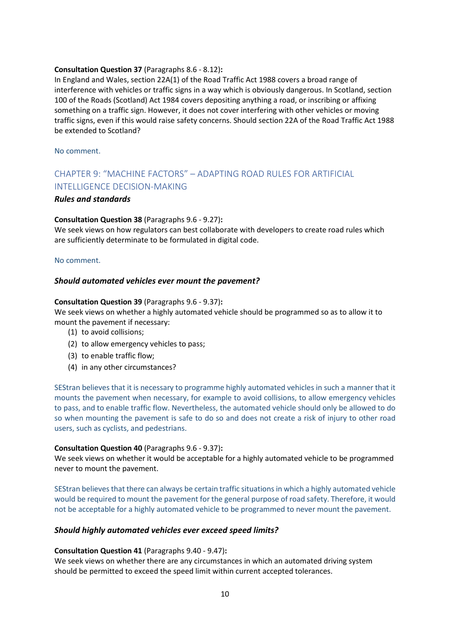## **Consultation Question 37** (Paragraphs 8.6 - 8.12)**:**

In England and Wales, section 22A(1) of the Road Traffic Act 1988 covers a broad range of interference with vehicles or traffic signs in a way which is obviously dangerous. In Scotland, section 100 of the Roads (Scotland) Act 1984 covers depositing anything a road, or inscribing or affixing something on a traffic sign. However, it does not cover interfering with other vehicles or moving traffic signs, even if this would raise safety concerns. Should section 22A of the Road Traffic Act 1988 be extended to Scotland?

No comment.

# CHAPTER 9: "MACHINE FACTORS" – ADAPTING ROAD RULES FOR ARTIFICIAL INTELLIGENCE DECISION-MAKING

### *Rules and standards*

### **Consultation Question 38** (Paragraphs 9.6 - 9.27)**:**

We seek views on how regulators can best collaborate with developers to create road rules which are sufficiently determinate to be formulated in digital code.

### No comment.

## *Should automated vehicles ever mount the pavement?*

### **Consultation Question 39** (Paragraphs 9.6 - 9.37)**:**

We seek views on whether a highly automated vehicle should be programmed so as to allow it to mount the pavement if necessary:

- (1) to avoid collisions;
- (2) to allow emergency vehicles to pass;
- (3) to enable traffic flow;
- (4) in any other circumstances?

SEStran believes that it is necessary to programme highly automated vehicles in such a manner that it mounts the pavement when necessary, for example to avoid collisions, to allow emergency vehicles to pass, and to enable traffic flow. Nevertheless, the automated vehicle should only be allowed to do so when mounting the pavement is safe to do so and does not create a risk of injury to other road users, such as cyclists, and pedestrians.

### **Consultation Question 40** (Paragraphs 9.6 - 9.37)**:**

We seek views on whether it would be acceptable for a highly automated vehicle to be programmed never to mount the pavement.

SEStran believes that there can always be certain traffic situations in which a highly automated vehicle would be required to mount the pavement for the general purpose of road safety. Therefore, it would not be acceptable for a highly automated vehicle to be programmed to never mount the pavement.

### *Should highly automated vehicles ever exceed speed limits?*

### **Consultation Question 41** (Paragraphs 9.40 - 9.47)**:**

We seek views on whether there are any circumstances in which an automated driving system should be permitted to exceed the speed limit within current accepted tolerances.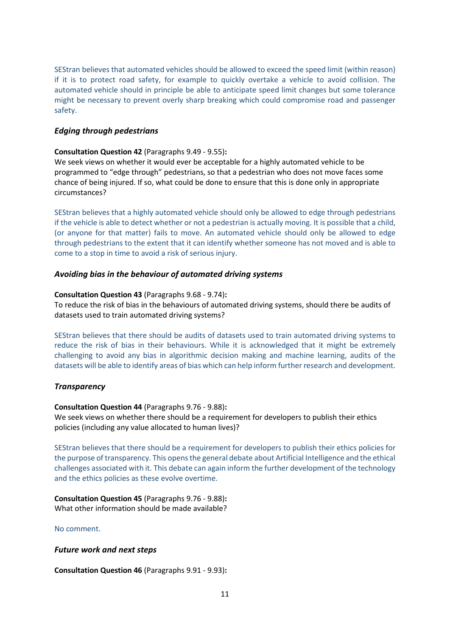SEStran believes that automated vehicles should be allowed to exceed the speed limit (within reason) if it is to protect road safety, for example to quickly overtake a vehicle to avoid collision. The automated vehicle should in principle be able to anticipate speed limit changes but some tolerance might be necessary to prevent overly sharp breaking which could compromise road and passenger safety.

## *Edging through pedestrians*

## **Consultation Question 42** (Paragraphs 9.49 - 9.55)**:**

We seek views on whether it would ever be acceptable for a highly automated vehicle to be programmed to "edge through" pedestrians, so that a pedestrian who does not move faces some chance of being injured. If so, what could be done to ensure that this is done only in appropriate circumstances?

SEStran believes that a highly automated vehicle should only be allowed to edge through pedestrians if the vehicle is able to detect whether or not a pedestrian is actually moving. It is possible that a child, (or anyone for that matter) fails to move. An automated vehicle should only be allowed to edge through pedestrians to the extent that it can identify whether someone has not moved and is able to come to a stop in time to avoid a risk of serious injury.

## *Avoiding bias in the behaviour of automated driving systems*

## **Consultation Question 43** (Paragraphs 9.68 - 9.74)**:**

To reduce the risk of bias in the behaviours of automated driving systems, should there be audits of datasets used to train automated driving systems?

SEStran believes that there should be audits of datasets used to train automated driving systems to reduce the risk of bias in their behaviours. While it is acknowledged that it might be extremely challenging to avoid any bias in algorithmic decision making and machine learning, audits of the datasets will be able to identify areas of bias which can help inform further research and development.

## *Transparency*

## **Consultation Question 44** (Paragraphs 9.76 - 9.88)**:**

We seek views on whether there should be a requirement for developers to publish their ethics policies (including any value allocated to human lives)?

SEStran believes that there should be a requirement for developers to publish their ethics policies for the purpose of transparency. This opens the general debate about Artificial Intelligence and the ethical challenges associated with it. This debate can again inform the further development of the technology and the ethics policies as these evolve overtime.

**Consultation Question 45** (Paragraphs 9.76 - 9.88)**:**  What other information should be made available?

No comment.

## *Future work and next steps*

**Consultation Question 46** (Paragraphs 9.91 - 9.93)**:**